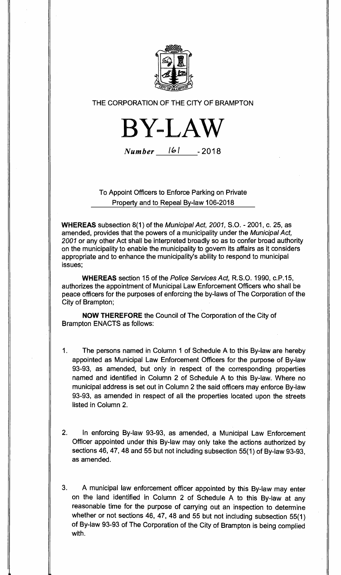

# THE CORPORATION OF THE CITY OF BRAMPTON

BY-LAW

Number 161 - 2018

To Appoint Officers to Enforce Parking on Private Property and to Repeal By-law 106-2018

**WHEREAS** subsection 8(1) of the Municipal Act, 2001, S.O. - 2001, c. 25, as amended, provides that the powers of a municipality under the Municipal Act, 2001 or any other Act shall be interpreted broadly so as to confer broad authority on the municipality to enable the municipality to govern its affairs as it considers appropriate and to enhance the municipality's ability to respond to municipal issues;

**WHEREAS** section 15 of the Police Services Act, R.S.O. 1990, c.P.15, authorizes the appointment of Municipal Law Enforcement Officers who shall be peace officers for the purposes of enforcing the by-laws of The Corporation of the City of Brampton;

**NOW THEREFORE** the Council of The Corporation of the City of Brampton ENACTS as follows:

- 1. The persons named in Column 1 of Schedule A to this By-law are hereby appointed as Municipal Law Enforcement Officers for the purpose of By-law 93-93, as amended, but only in respect of the corresponding properties named and identified in Column 2 of Schedule A to this By-law. Where no municipal address is set out in Column 2 the said officers may enforce By-law 93-93, as amended in respect of all the properties located upon the streets listed in Column 2.
- 2. In enforcing By-law 93-93, as amended, a Municipal Law Enforcement Officer appointed under this By-law may only take the actions authorized by sections 46, 47, 48 and 55 but not including subsection 55(1) of By-law 93-93, as amended.
- 3. A municipal law enforcement officer appointed by this By-law may enter on the land identified in Column 2 of Schedule A to this By-law at any reasonable time for the purpose of carrying out an inspection to determine whether or not sections 46, 47, 48 and 55 but not including subsection 55(1) of By-law 93-93 of The Corporation of the City of Brampton is being complied with.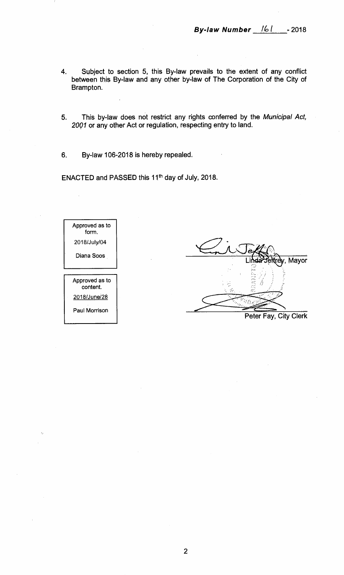- **4. Subject to section 5, this By-law prevails to the extent of any conflict between this By-law and any other by-law of The Corporation of the City of Brampton.**
- **5. This by-law does not restrict any rights conferred by the** Municipal Act, 2001 **or any other Act or regulation, respecting entry to land.**
- **6. By-law 106-2018 is hereby repealed.**

**ENACTED and PASSED this 11th day of July, 2018.** 

Approved as to form. 2018/July/04 Diana Soos Approved as to content. 2018/June/28 Paul Morrison

Mayor A

**Peter Fay, City Clerk**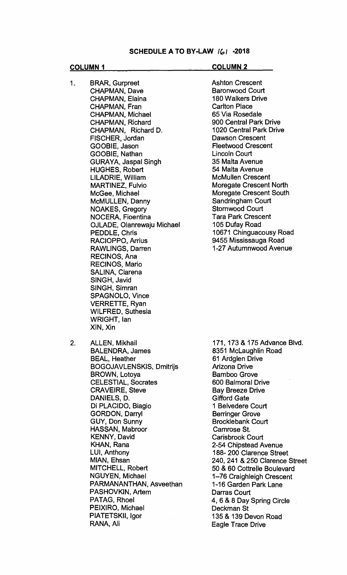### **COLUMN 1** COLUMN 2

- 1. BRAR, Gurpreet CHAPMAN, Dave CHAPMAN, Elaina CHAPMAN, Fran CHAPMAN, Michael CHAPMAN, Richard CHAPMAN, Richard D. FISCHER, Jordan GOOBIE, Jason GOOBIE, Nathan GURAYA, Jaspal Singh HUGHES, Robert LILADRIE, William MARTINEZ, Fulvio McGee, Michael McMULLEN, Danny NOAKES, Gregory NOCERA, Fioentina OJLADE, Olanrewaju Michael PEDDLE, Chris RACIOPPO, Arrius RAWLINGS, Darren RECINOS, Ana RECINOS, Mario SALINA, Clarena SINGH, Javid SINGH, Simran SPAGNOLO, Vince VERRETTE, Ryan WILFRED, Suthesia WRIGHT, Ian XIN, Xin
- 

Ashton Crescent Baronwood Court 180 Walkers Drive Carlton Place 65 Via Rosedale 900 Central Park Drive 1020 Central Park Drive Dawson Crescent Fleetwood Crescent Lincoln Court 35 Malta Avenue 54 Malta Avenue McMullen Crescent Moregate Crescent North Moregate Crescent South Sandringham Court Stornwood Court Tara Park Crescent 105 Dufay Road 10671 Chinguacousy Road 9455 Mississauga Road 1-27 Autumnwood Avenue

2. ALLEN, Mikhail BALENDRA, James **BEAL, Heather** BOGOJAVLENSKIS, Dmitrijs BROWN, Lotoya CELESTIAL, Socrates CRAVEIRE, Steve DANIELS, D. Di PLACIDO, Biagio GORDON, Darryl GUY, Don Sunny HASSAN, Mabroor KENNY, David KHAN, Rana LUI, Anthony MIAN, Ehsan MITCHELL, Robert NGUYEN, Michael PARMANANTHAN, Asveethan PASHOVKIN, Artem PATAG, Rhoel PEIXIRO, Michael PIATETSKII, Igor RANA, Ali

171, 173 & 175 Advance Blvd. 8351 McLaughlin Road 61 Ardglen Drive Arizona Drive Bamboo Grove 600 Balmoral Drive Bay Breeze Drive Gifford Gate 1 Belvedere Court Berringer Grove Brocklebank Court Camrose St. Carisbrook Court 2-54 Chipstead Avenue 188- 200 Clarence Street 240, 241 & 250 Clarence Street 50 & 60 Cottrelle Boulevard 1-76 Craighleigh Crescent 1-16 Garden Park Lane Darras Court 4, 6 & 8 Day Spring Circle Deckman St 135 & 139 Devon Road Eagle Trace Drive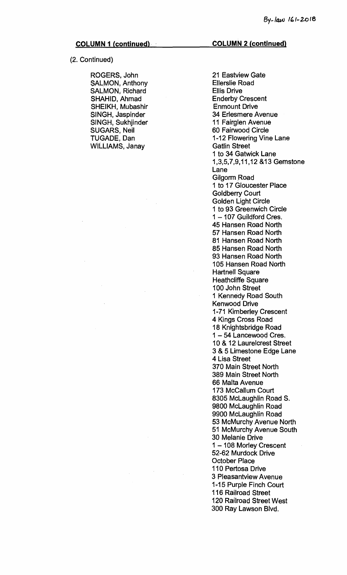**(2. Continued)** 

**ROGERS, John SALMON, Anthony SALMON, Richard SHAHID, Ahmad SHEIKH, Mubashir SINGH, Jaspinder SINGH, Sukhjinder SUGARS, Neil TUGADE, Dan WILLIAMS, Janay** 

**21 Eastview Gate Ellerslie Road Ellis Drive Enderby Crescent Enmount Drive 34 Erlesmere Avenue 11 Fairglen Avenue 60 Fairwood Circle 1-12 Flowering Vine Lane Gatlin Street 1 to 34 Gatwick Lane 1,3,5,7,9,11,12 &13 Gemstone Lane Gilgorm Road 1 to 17 Gloucester Place Goldberry Court Golden Light Circle 1 to 93 Greenwich Circle 1 — 107 Guildford Cres. 45 Hansen Road North 57 Hansen Road North 81 Hansen Road North 85 Hansen Road. North 93 Hansen Road North 105 Hansen Road North Hartnell Square Heathcliffe Square 100 John Street 1 Kennedy Road South Kenwood Drive 1-71 Kimberley Crescent 4 Kings Cross Road 18 Knightsbridge Road 1 — 54 Lancewood Cres. 10 & 12 Laurelcrest Street 3 & 5 Limestone Edge Lane 4 Lisa Street 370 Main Street North 389 Main Street North 66 Malta Avenue 173 McCallum Court 8305 McLaughlin Road S. 9800 McLaughlin Road 9900 McLaughlin Road 53 McMurchy Avenue North 51 McMurchy Avenue South 30 Melanie Drive 1 — 108 Morley Crescent 52-62 Murdock Drive October Place 110 Pertosa Drive 3 Pleasantview Avenue 1-15 Purple Finch Court 116 Railroad Street 120 Railroad Street West 300 Ray Lawson Blvd.**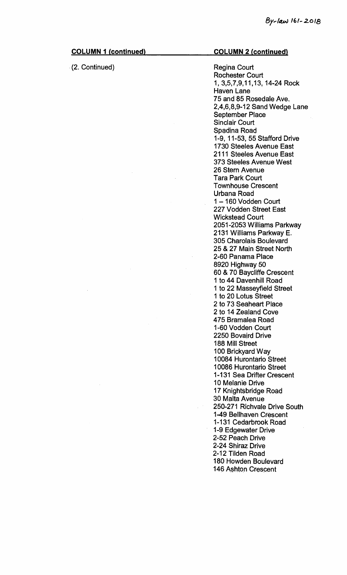| <b>COLUMN 1 (continued)</b> | <b>COLUMN 2 (continued)</b>                                                                                                                                                                                                                                                                                                                                                                                      |
|-----------------------------|------------------------------------------------------------------------------------------------------------------------------------------------------------------------------------------------------------------------------------------------------------------------------------------------------------------------------------------------------------------------------------------------------------------|
| (2. Continued)              | Régina Court<br>Rochester Court<br>1, 3,5,7,9,11,13, 14-24 Rock<br><b>Haven Lane</b><br>75 and 85 Rosedale Ave.<br>2,4,6,8,9-12 Sand Wedge Lane<br><b>September Place</b><br><b>Sinclair Court</b><br>Spadina Road<br>1-9, 11-53, 55 Stafford Drive<br>1730 Steeles Avenue East<br>2111 Steeles Avenue East<br>373 Steeles Avenue West<br>26 Stern Avenue<br><b>Tara Park Court</b><br><b>Townhouse Crescent</b> |
|                             | Urbana Road<br>1-160 Vodden Court<br>227 Vodden Street East<br><b>Wickstead Court</b><br>2051-2053 Williams Parkway<br>2131 Williams Parkway E.<br>305 Charolais Boulevard<br>25 & 27 Main Street North<br>2-60 Panama Place<br>8920 Highway 50                                                                                                                                                                  |
|                             | 60 & 70 Baycliffe Crescent<br>1 to 44 Davenhill Road<br>1 to 22 Masseyfield Street<br>1 to 20 Lotus Street<br>2 to 73 Seaheart Place<br>2 to 14 Zealand Cove<br>475 Bramalea Road<br>1-60 Vodden Court<br>2250 Bovaird Drive<br>188 Mill Street<br>100 Brickyard Way                                                                                                                                             |
|                             | 10084 Hurontario Street<br>10086 Hurontario Street<br>1-131 Sea Drifter Crescent<br>10 Melanie Drive<br>17 Knightsbridge Road<br>30 Malta Avenue<br>250-271 Richvale Drive South<br>1-49 Bellhaven Crescent<br>1-131 Cedarbrook Road<br>1-9 Edgewater Drive<br>2-52 Peach Drive<br>2-24 Shiraz Drive<br>2-12 Tilden Road<br>180 Howden Boulevard<br>146 Ashton Crescent                                          |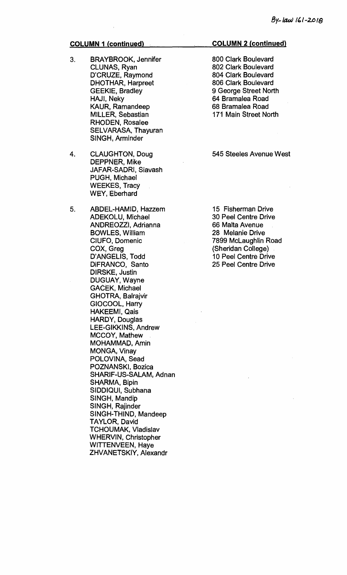- **3. BRAYBROOK, Jennifer CLUNAS, Ryan D'CRUZE, Raymond DHOTHAR, Harpreet GEEKIE, Bradley HAJI, Neky KAUR, Ramandeep MILLER, Sebastian RHODEN, Rosalee SELVARASA, Thayuran SINGH, Arminder**
- **4. CLAUGHTON, Doug DEPPNER, Mike JAFAR-SADRI, Siavash PUGH, Michael WEEKES, Tracy WEY, Eberhard**
- **5. ABDEL-HAMID, Hazzem ADEKOLU, Michael ANDREOZZI, Adrianna BOWLES, William CIUFO, Domenic COX, Greg D'ANGELIS, Todd DiFRANCO, Santo DIRSKE, Justin DUGUAY, Wayne GACEK, Michael GHOTRA, Balrajvir GIOCOOL, Harry HAKEEMI, Qais HARDY, Douglas LEE-GIKKINS, Andrew MCCOY, Mathew MOHAMIV1AD, Amin MONGA, Vinay POLOVINA, Sead POZNANSKI, Bozica SHARIF-US-SALAM, Adnan SHARMA, Bipin SIDDIQUI, Subhana SINGH, Mandip SINGH, Rajinder SINGH-THIND, Mandeep TAYLOR, David TCHOUMAK, Vladislav WHERVIN, Christopher WITTENVEEN, Haye ZHVANETSKIY, Alexandr**

## **COLUMN 2 (continued)**

**800 Clark Boulevard 802 Clark Boulevard 804 Clark Boulevard 806 Clark Boulevard 9 George Street North 64 Bramalea Road 68 Bramalea Road 171 Main Street North** 

# **545 Steeles Avenue West**

**15 Fisherman Drive 30 Peel Centre Drive 66 Malta Avenue 28 Melanie Drive 7899 McLaughlin Road (Sheridan College) 10 Peel Centre Drive 25 Peel Centre Drive**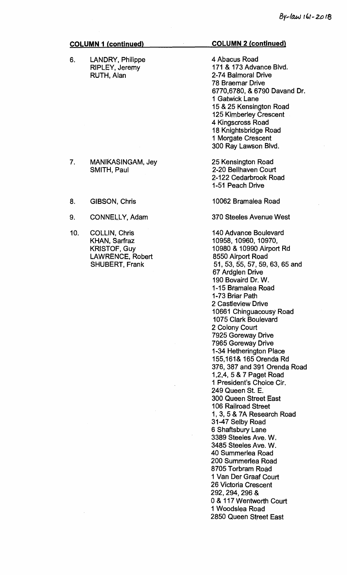| <b>COLUMN 1 (continued)</b> |                         | <b>COLUMN 2 (continued)</b> |
|-----------------------------|-------------------------|-----------------------------|
| 6.                          | <b>LANDRY, Philippe</b> | 4 Abacus Road               |
|                             | <b>RIPLEY, Jeremy</b>   | 171 & 173 Advance Blvd.     |
|                             | RUTH, Alan              | 2-74 Balmoral Drive         |
|                             |                         | 70 Badamad Babie            |

4 Abacus Road 171 & 173 Advance Blvd. 2-74 Balmoral Drive 78 Braemar Drive 6770,6780, & 6790 Davand Dr. 1 Gatwick Lane 15 & 25 Kensington Road 125 Kimberley Crescent 4 Kingscross Road 18 Knightsbridge Road 1 Morgate Crescent 300 Ray Lawson Blvd.

25 Kensington Road 2-20 Bellhaven Court 2-122 Cedarbrook Road 1-51 Peach Drive

10062 Bramalea Road

370 Steeles Avenue West

140 Advance Boulevard 10958, 10960, 10970, 10980 & 10990 Airport Rd 8550 Airport Road 51, 53, 55, 57, 59, 63, 65 and 67 Ardglen Drive 190 Bovaird Dr. W. 1-15 Bramalea Road 1-73 Briar Path 2 Castleview Drive 10661 Chinguacousy Road 1075 Clark Boulevard 2 Colony Court 7925 Goreway Drive 7965 Goreway Drive 1-34 Hetherington Place 155,161& 165 Orenda Rd 376, 387 and 391 Orenda Road 1,2,4, 5 & 7 Paget Road 1 President's Choice Cir. 249 Queen St. E. 300 Queen Street East 106 Railroad Street 1, 3, 5 & 7A Research Road 31-47 Selby Road 6 Shaftsbury Lane 3389 Steeles Ave. W. 3485 Steeles Ave. W. 40 Summerlea Road 200 Summerlea Road 8705 Torbrarn Road 1 Van Der Graaf Court 26 Victoria Crescent 292, 294, 296 & 0 & 117 Wentworth Court 1 Woodslea Road 2850 Queen Street East

## 7. MANIKASINGAM, Jey SMITH, Paul

- 8. GIBSON, Chris
- 9. CONNELLY, Adam
- 10. COLLIN, Chris KHAN, Sarfraz KRISTOF, Guy LAWRENCE, Robert SHUBERT, Frank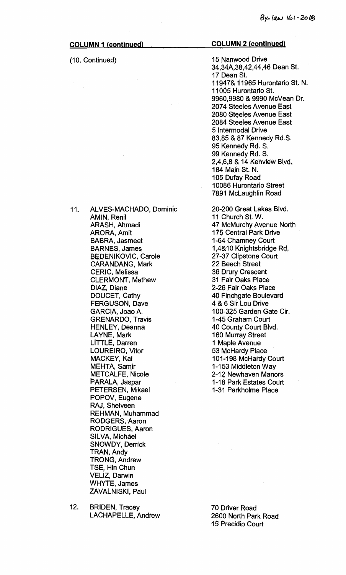### **(10. Continued)**

#### **COLUMN 2 (continued)**

**15 Nanwood Drive 34,34A,38,42,44,46 Dean St. 17 Dean St. 11947& 11965 Hurontario St. N. 11005 Hurontario St. 9960,9980 & 9990 McVean Dr. 2074 Steeles Avenue East 2080 Steeles Avenue East 2084 Steeles Avenue East 5 Intermodal Drive 83,85 & 87 Kennedy Rd.S. 95 Kennedy Rd. S. 99 Kennedy Rd. S. 2,4,6,8 & 14 Kenview Blvd. 184 Main St. N. 105 Dufay Road 10086 Hurontario Street 7891 McLaughlin Road** 

**20-200 Great Lakes Blvd. 11 Church St. W. 47 McMurchy Avenue North 175 Central Park Drive 1-64 Chamney Court 1,4&10 Knightsbridge Rd. 27-37 Clipstone Court 22 Beech Street 36 Drury Crescent 31 Fair Oaks Place 2-26 Fair Oaks Place 40 Finchgate Boulevard 4 & 6 Sir Lou Drive 100-325 Garden Gate Cir. 1-45 Graham Court 40 County Court Blvd. 160 Murray Street 1 Maple Avenue 53 McHardy Place 101-198 McHardy Court 1-153 Middleton Way 2-12 Newhaven Manors 1-18 Park Estates Court 1-31 Parkholme Place** 

**11. ALVES-MACHADO, Dominic AMIN, Renil ARASH, Ahmadi ARORA, Amit BABRA, Jasmeet BARNES, James BEDENIKOVIC, Carole CARANDANG, Mark CERIC, Melissa CLERMONT, Mathew DIAZ, Diane DOUCET, Cathy FERGUSON, Dave GARCIA, Joao A. GRENARDO, Travis HENLEY, Deanna LAYNE, Mark LITTLE, Darren LOUREIRO, Vitor MACKEY, Kai MEHTA, Samir METCALFE, Nicole PARALA, Jaspar PETERSEN, Mikael POPOV, Eugene RAJ, Shelveen REHMAN, Muhammad RODGERS, Aaron RODRIGUES, Aaron SILVA, Michael SNOWDY, Derrick IRAN, Andy TRONG, Andrew TSE, Hin Chun VELIZ, Darwin WHYTE, James** 

**12. BRIDEN, Tracey LACHAPELLE, Andrew** 

**ZAVALNISKI, Paul** 

**70 Driver Road 2600 North Park Road 15 Precidio Court**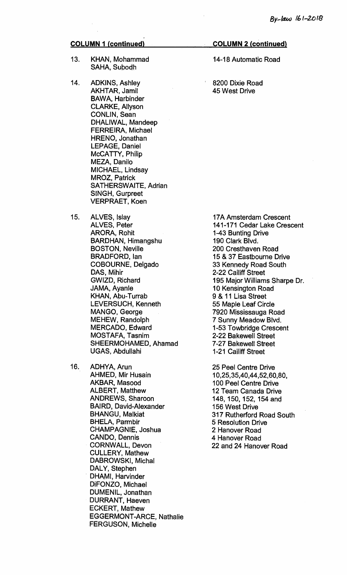- **13. KHAN, Mohammad SAHA, Subodh**
- **14. ADKINS, Ashley AKHTAR, Jamil BAWA, Harbinder CLARKE, Allyson CONLIN, Sean DHALIWAL, Mandeep FERREIRA, Michael HRENO, Jonathan LEPAGE, Daniel McCATTY, Philip MEZA, Danilo MICHAEL, Lindsay MROZ, Patrick SATHERSWAITE, Adrian SINGH, Gurpreet VERPRAET, Koen**
- **15. ALVES, Islay ALVES, Peter ARORA, Rohit BARDHAN, Himangshu BOSTON, Neville BRADFORD, Ian COBOURNE, Delgado DAS, Mihir GWIZD, Richard JAMA, Ayanle KHAN, Abu-Turrab LEVERSUCH, Kenneth MANGO, George MEHEW, Randolph MERCADO, Edward MOSTAFA, Tasnim SHEERMOHAMED, Ahamad UGAS, Abdullahi**
- **16. ADHYA, Arun AHMED, Mir Husain AKBAR, Masood ALBERT, Matthew ANDREWS, Sharoon BAIRD, David-Alexander BHANGU, Malkiat BHELA, Parmbir CHAMPAGNIE, Joshua CANDO, Dennis CORNWALL, Devon CULLERY, Mathew DABROWSKI, Michal DALY, Stephen DHAMI, Harvinder DiFONZO, Michael DUMENIL, Jonathan DURRANT, Haeven ECKERT, Mathew EGGERMONT-ARCE, Nathalie FERGUSON, Michelle**

#### **COLUMN 2 (continued)**

**14-18 Automatic Road** 

**8200 Dixie Road 45 West Drive** 

**17A Amsterdam Crescent 141-171 Cedar Lake Crescent 1-43 Bunting Drive 190 Clark Blvd. 200 Cresthaven Road 15 & 37 Eastbourne Drive 33 Kennedy Road South 2-22 Cailiff Street 195 Major Williams Sharpe Dr. 10 Kensington Road 9 & 11 Lisa Street 55 Maple Leaf Circle 7920 Mississauga Road 7 Sunny Meadow Blvd. 1-53 Towbridge Crescent 2-22 Bakewell Street 7-27 Bakewell Street 1-21 Cailiff Street** 

**25 Peel Centre Drive 10,25,35,40,44,52,60,80, 100 Peel Centre Drive 12 Team Canada Drive 148, 150, 152, 154 and 156 West Drive 317 Rutherford Road South 5 Resolution Drive 2 Hanover Road 4 Hanover Road 22 and 24 Hanover Road**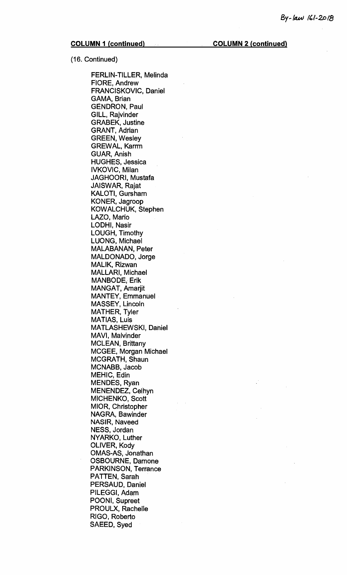(16. Continued)

FERLIN-TILLER, Melinda FIORE, Andrew FRANCISKOVIC, Daniel GAMA, Brian GENDRON, Paul GILL, Rajvinder GRABEK, Justine GRANT, Adrian GREEN, Wesley GREWAL, Karrm GUAR, Anish HUGHES, Jessica IVKOVIC, Milan JAGHOORI, Mustafa JAISWAR, Rajat KALOTI, Gursham KONER, Jagroop KOWALCHUK, Stephen LAZO, Mario LODHI, Nasir LOUGH, Timothy LUONG, Michael MALABANAN, Peter MALDONADO, Jorge MALIK, Rizwan MALLARI, Michael MANBODE, Erik MANGAT, Amarjit. MANTEY, Emmanuel MASSEY, Lincoln MATHER, Tyler MATIAS, Luis MATLASHEWSKI, Daniel MAVI, Malvinder MCLEAN, Brittany MCGEE, Morgan Michael MCGRATH, Shaun MCNABB, Jacob MEHIC, Edin MENDES, Ryan MENENDEZ, Celhyn MICHENKO, Scott MIOR, Christopher NAGRA, Bawinder NASIR, Naveed NESS, Jordan NYARKO, Luther OLIVER, Kody OMAS-AS, Jonathan OSBOURNE, Damone PARKINSON, Terrance PATTEN, Sarah PERSAUD, Daniel PILEGGI, Adam POONI, Supreet PROULX, Rachelle RIGO, Roberto SAEED, Syed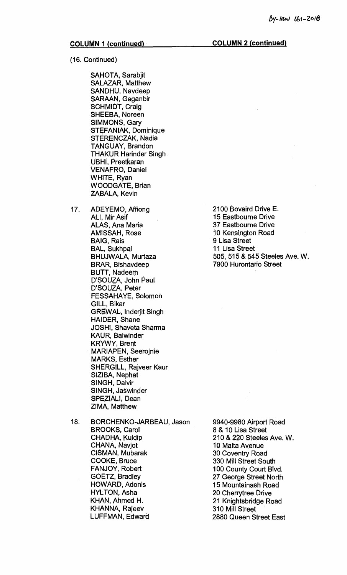**(16. Continued)** 

**SAHOTA, Sarabjit SALAZAR, Matthew SANDHU, Navdeep SARAAN, Gaganbir SCHMIDT, Craig SHEEBA, Noreen SIMMONS, Gary STEFANIAK, Dominique STERENCZAK, Nadia TANGUAY, Brandon THAKUR Harinder Singh UBHI, Preetkaran VENAFRO, Daniel WHITE, Ryan WOODGATE, Brian ZABALA, Kevin** 

- **17. ADEYEMO, Affiong ALI, !Mir Asif ALAS, Ana Maria AMISSAH, Rose BAIG, Rais BAL, Sukhpal BHUJWALA, Murtaza BRAR, Bishavdeep BUTT, Nadeem D'SOUZA, John Paul D'SOUZA, Peter FESSAHAYE, Solomon GILL, Bikar GREWAL, lnderjit Singh HAIDER, Shane JOSHI, Shaveta Sharma KAUR, Balwinder KRYWY, Brent MARIAPEN, Seerojnie MARKS, Esther SHERGILL, Rajveer Kaur SIZIBA, Nephat SINGH, Dalvir SINGH, Jaswinder SPEZIALI, Dean ZIMA, Matthew**
- **18. BORCHENKO-JARBEAU, Jason BROOKS, Carol CHADHA, Kuldip CHANA, Navjot CISMAN, Mubarak COOKE, Bruce FANJOY, Robert GOETZ, Bradley HOWARD, Adonis HYLTON, Asha KHAN, Ahmed H. KHANNA, Rajeev LUFFMAN, Edward**

**9940-9980 Airport Road 8 & 10 Lisa Street 210 & 220 Steeles Ave. W. 10 Malta Avenue 30 Coventry Road 330 Mill Street South 100 County Court Blvd. 27 George Street North 15 Mountainash Road 20 Cherrytree Drive 21 Knightsbridge Road 310 Mill Street 2880 Queen Street East** 

**2100 Bovaird Drive E. 15 Eastbourne Drive 37 Eastbourne Drive 10 Kensington Road 9 Lisa Street 11 Lisa Street 505, 515 & 545 Steeles Ave. W. 7900 Hurontario Street**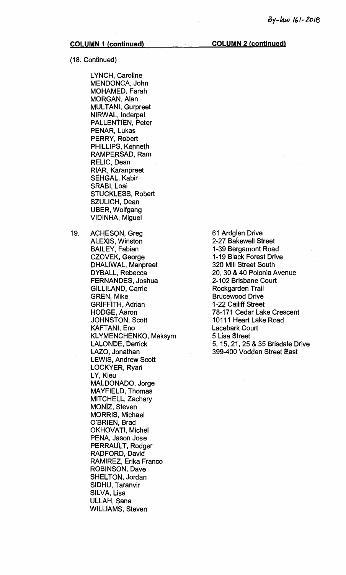### (18. Continued)

LYNCH, Caroline MENDONCA, John MOHAMED, Farah MORGAN, Alan MULTANI, Gurpreet NIRWAL, Inderpal PALLENTIEN, Peter PENAR, Lukas PERRY, Robert PHILLIPS, Kenneth RAMPERSAD, Ram RELIC, Dean RIAR, Karanpreet SEHGAL, Kabir SRABI, Loai STUCKLESS, Robert SZULICH, Dean UBER, Wolfgang VIDINHA, Miguel

19. ACHESON, Greg ALEXIS, Winston BAILEY, Fabian CZOVEK, George DHALIWAL, Manpreet DYBALL, Rebecca FERNANDES, Joshua GILLILAND, Carrie GREN, Mike GRIFFITH, Adrian HODGE, Aaron JOHNSTON, Scott KAFTAN!, Eno KLYMENCHENKO, Maksym LALONDE, Derrick LAZO, Jonathan LEWIS, Andrew Scott LOCKYER, Ryan LY, Kieu MALDONADO, Jorge MAYFIELD, Thomas MITCHELL, Zachary MONIZ, Steven MORRIS, Michael O'BRIEN, Brad OKHOVATI, Michel PENA, Jason Jose PERRAULT, Rodger RADFORD, David RAMIREZ, Erika Franco ROBINSON, Dave SHELTON, Jordan SIDHU, Taranvir SILVA, Lisa ULLAH, Sana WILLIAMS, Steven

## 61 Ardglen Drive 2-27 Bakewell Street 1-39 Bergamont Road 1-19 Black Forest Drive 320 Mill Street South 20, 30 & 40 Polonia Avenue 2-102 Brisbane Court Rockgarden Trail Brucewood Drive 1-22 Cailiff Street 78-171 Cedar Lake Crescent 10111 Heart Lake Road Lacebark Court 5 Lisa Street 5, 15, 21, 25 & 35 Brisdale Drive 399-400 Vodden Street East

### **COLUMN 1 (continued) COLUMN 2 (continued)**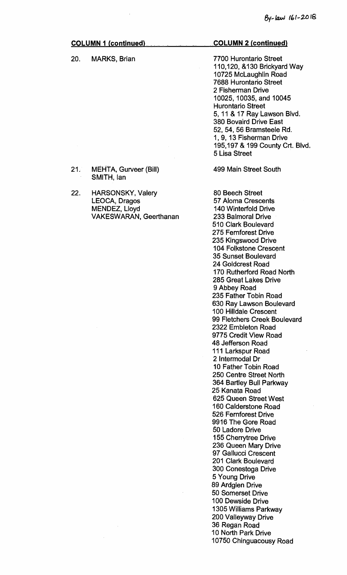# **COLUMN 1 (continued) COLUMN 2 (continued) 20. MARKS, Brian 21. MEHTA, Gurveer (Bill) SMITH, Ian 22. HARSONSKY, Valery LEOCA, Dragos MENDEZ, Lloyd VAKESWARAN, Geerthanan 7700 Hurontario Street 110,120, &130 Brickyard Way 10725 McLaughlin Road 7688 Hurontario Street 2 Fisherman Drive 10025, 10035, and 10045 Hurontario Street 5, 11 & 17 Ray Lawson Blvd. 380 Bovaird Drive East 52, 54, 56 Bramsteele Rd. 1, 9, 13 Fisherman Drive 195,197 & 199 County Crt. Blvd. 5 Lisa Street**

**499 Main Street South 80 Beech Street 57 Aloma Crescents 140 Winterfold Drive 233 Balmoral Drive 510 Clark Boulevard 275 Fernforest Drive 235 Kingswood Drive 104 Folkstone Crescent 35 Sunset Boulevard 24 Goldcrest Road 170 Rutherford Road North 285 Great Lakes Drive 9 Abbey Road 235 Father Tobin Road 630 Ray Lawson Boulevard 100 Hilldale Crescent 99 Fletchers Creek Boulevard 2322 Embleton Road 9775 Credit View Road 48 Jefferson Road 111 Larkspur Road 2 Intermodal Dr 10 Father Tobin Road 250 Centre Street North 364 Bartley Bull Parkway 25 Kanata Road 625 Queen Street West 160 Calderstone Road 526 Fernforest Drive 9916 The Gore Road 50 Ladore Drive 155 Cherrytree Drive 236 Queen Mary Drive 97 Gallucci Crescent 201 Clark Boulevard 300 Conestoga Drive 5 Young Drive 89 Ardglen Drive 50 Somerset Drive 100 Dewside Drive 1305 Williams Parkway 200 Valleyway Drive 36 Regan Road 10 North Park Drive 10750 Chinguacousy Road**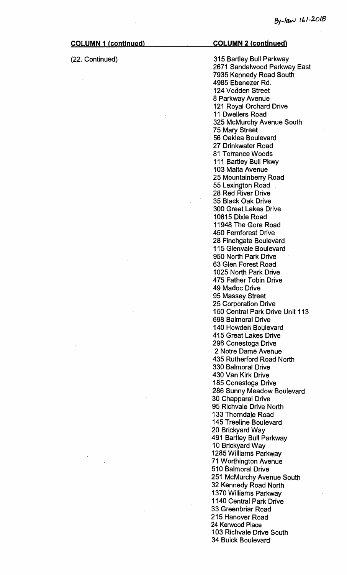(22. Continued) 315 Bartley Bull Parkway 2671 Sandalwood Parkway East 7935 Kennedy Road South 4985 Ebenezer Rd. 124 Vodden Street 8 Parkway Avenue 121 Royal Orchard Drive 11 Dwellers Road 325 McMurchy Avenue South 75 Mary Street 56 Oaklea Boulevard 27 Drinkwater Road 81 Torrance Woods 111 Bartley Bull Pkwy 103 Malta Avenue 25 Mountainberry Road 55 Lexington Road 28 Red River Drive 35 Black Oak Drive 300 Great Lakes Drive 10815 Dixie Road 11948 The Gore Road 450 Fernforest Drive 28 Finchgate Boulevard 115 Glenvale Boulevard 950 North Park Drive 63 Glen Forest Road 1025 North Park Drive 475 Father Tobin Drive 49 Madoc Drive 95 Massey Street 25 Corporation Drive 150 Central Park Drive Unit 113 698 Balmoral Drive 140 Howden Boulevard 415 Great Lakes Drive 296 Conestoga Drive 2 Notre Dame Avenue 435 Rutherford Road North 330 Balmoral Drive 430 Van Kirk Drive 185 Conestoga Drive 286 Sunny Meadow Boulevard 30 Chapparal Drive 95 Richvale Drive North 133 Thorndale Road 145 Treeline Boulevard 20 Brickyard Way 491 Bartley Bull Parkway 10 Brickyard Way 1285 Williams Parkway 71 Worthington Avenue 510 Balmoral Drive 251 McMurchy Avenue South 32 Kennedy Road North 1370 Williams Parkway 1140 Central Park Drive 33 Greenbriar Road 215 Hanover Road 24 Kerwood Place 103 Richvale Drive South 34 Buick Boulevard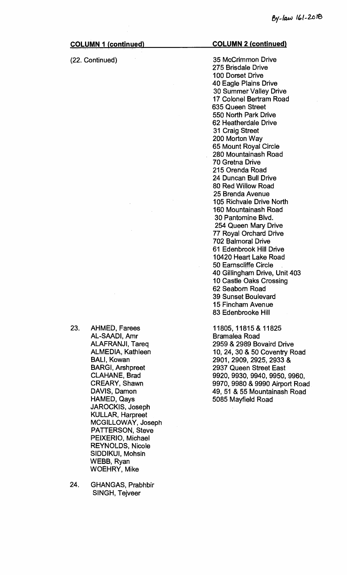#### (22. Continued)

#### **COLUMN 2 (continued)**

35 McCrimmon Drive 275 Brisdale Drive 100 Dorset Drive 40 Eagle Plains Drive 30 Summer Valley Drive 17 Colonel Bertram Road 635 Queen Street 550 North Park Drive 62 Heatherdale Drive 31 Craig Street 200 Morton Way 65 Mount Royal Circle 280 Mountainash Road 70 Gretna Drive 215 Orenda Road 24 Duncan Bull Drive 80 Red Willow Road 25 Brenda Avenue 105 Richvale Drive North 160 Mountainash Road 30 Pantomine Blvd. 254 Queen Mary Drive 77 Royal Orchard Drive 702 Balmoral Drive 61 Edenbrook Hill Drive 10420 Heart Lake Road 50 Earnscliffe Circle 40 Gillingham Drive, Unit 403 10 Castle Oaks Crossing 62 Seabom Road 39 Sunset Boulevard 15 Fincham Avenue 83 Edenbrooke Hill

11805, 11815 & 11825 Bramalea Road 2959 & 2989 Bovaird Drive 10, 24, 30 & 50 Coventry Road 2901, 2909, 2925, 2933 & 2937 Queen Street East 9920, 9930, 9940, 9950, 9960, 9970, 9980 & 9990 Airport Road 49, 51 & 55 Mountainash Road 5085 Mayfield Road

- 23. AHMED, Farees AL-SAADI, Amr ALAFRANJI, Tareq ALMEDIA, Kathleen BALI, Kowan BARGI, Arshpreet CLAHANE, Brad CREARY, Shawn DAVIS, Damon NAMED, Qays JAROCKIS, Joseph KULLAR, Harpreet MCGILLOWAY, Joseph PATTERSON, Steve PEIXERIO, Michael REYNOLDS, Nicole SIDDIKUI, Mohsin WEBB, Ryan WOEHRY, Mike
- 24. GHANGAS, Prabhbir SINGH, Tejveer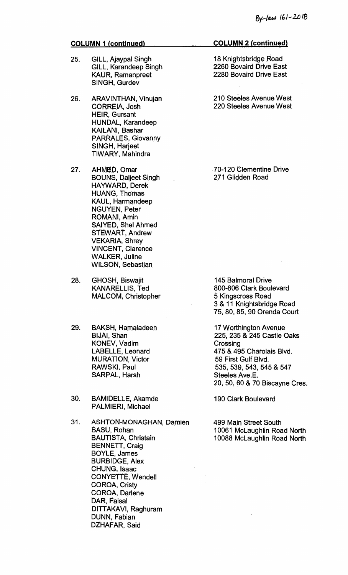- 25. GILL, Ajaypal Singh GILL, Karandeep Singh KAUR, Ramanpreet SINGH, Gurdev
- 26. ARAVINTHAN, Vinujan CORREIA, Josh HEIR, Gursant HUNDAL, Karandeep KAILANI, Bashar PARRALES, Giovanny SINGH, Harjeet TIWARY, Mahindra
- 27. AHMED, Omar BOUNS, Daljeet Singh HAYWARD, Derek HUANG, Thomas KAUL, Harmandeep NGUYEN, Peter ROMANI, Amin SAIYED, Shel Ahmed STEWART, Andrew VEKARIA, Shrey VINCENT, Clarence WALKER, Juline WILSON, Sebastian
- 28. GHOSH, Biswajit KANARELLIS, Ted MALCOM, Christopher
- 29. BAKSH, Hamaladeen BIJAI, Shan KONEV, Vadim LABELLE, Leonard MURATION, Victor RAWSKI, Paul SARPAL, Harsh
- 30. BAMIDELLE, Akamde PALMIERI, Michael
- 31. ASHTON-MONAGHAN, Damien BASU, Rohan BAUTISTA, Christain BENNETT, Craig BOYLE, James BURBIDGE, Alex CHUNG, Isaac CONYETTE, Wendell COROA, Cristy COROA, Darlene DAR, Faisal DITTAKAVI, Raghuram DUNN, Fabian DZHAFAR, Said

18 Knightsbridge Road 2260 Bovaird Drive East 2280 Bovaird Drive East

210 Steeles Avenue West 220 Steeles Avenue West

70-120 Clementine Drive 271 Glidden Road

145 Balmoral Drive 800-806 Clark Boulevard 5 Kingscross Road 3 & 11 Knightsbridge Road 75, 80, 85, 90 Orenda Court

17 Worthington Avenue 225, 235 & 245 Castle Oaks **Crossing** 475 & 495 Charolais Blvd. 59 First Gulf Blvd. 535, 539, 543, 545 & 547 Steeles Ave.E. 20, 50, 60 & 70 Biscayne Cres.

190 Clark Boulevard

499 Main Street South 10061 McLaughlin Road North 10088 McLaughlin Road North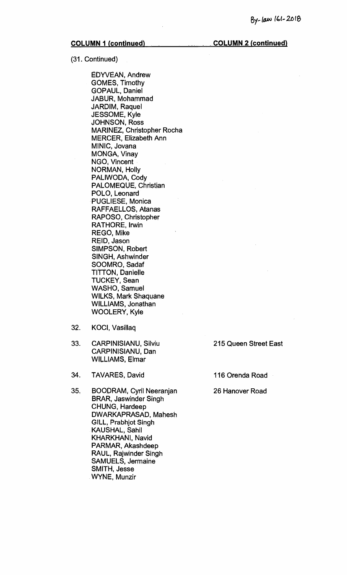**COLUMN 2 (continued)** 

(31. Continued)

EDYVEAN, Andrew GOMES, Timothy GOPAUL, Daniel JABUR, Mohammad JARDIM, Raquel JESSOME, Kyle JOHNSON, Ross MARINEZ, Christopher Rocha MERCER, Elizabeth Ann MINIC, Jovana MONGA, Vinay NGO, Vincent NORMAN, Holly PALIWODA, Cody PALOMEQUE, Christian POLO, Leonard PUGLIESE, Monica RAFFAELLOS, Atanas RAPOSO, Christopher RATHORE, Irwin REGO, Mike REID, Jason SIMPSON, Robert SINGH, Ashwinder SOOMRO, Sadaf TITTON, Danielle TUCKEY, Sean WASHO, Samuel WILKS, Mark Shaquane WILLIAMS, Jonathan WOOLERY, Kyle

- 32. KOCI, Vasillaq
- 33. CARPINISIANU, Silviu 215 Queen Street East CARPINISIANU, Dan WILLIAMS, Elmar
- 34. TAVARES, David 116 Orenda Road
- 35. BOODRAM, Cyril Neeranjan 26 Hanover Road BRAR, Jaswinder Singh CHUNG, Hardeep DWARKAPRASAD, Mahesh GILL, Prabhjot Singh KAUSHAL, Sahil KHARKHANI, Navid PARMAR, Akashdeep RAUL, Rajwinder Singh SAMUELS, Jermaine SMITH, Jesse WYNE, Munzir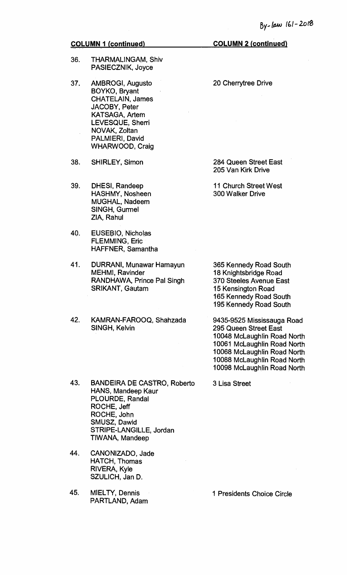- 36. THARMALINGAM, Shiv PASIECZNIK, Joyce
- 37. AMBROGI, Augusto BOYKO, Bryant CHATELAIN, James JACOBY, Peter KATSAGA, Artem LEVESQUE, Sherri NOVAK, Zoltan PALMIERI, David WHARWOOD, Craig
- 38. SHIRLEY, Simon
- 39. DHESI, Randeep HASHMY, Nosheen MUGHAL, Nadeem SINGH, Gurmel ZIA, Rahul
- 40. EUSEBIO, Nicholas FLEMMING, Eric HAFFNER, Samantha
- 41. DURRANI, Munawar Hamayun MEHMI, Ravinder RANDHAWA, Prince Pal Singh SRIKANT, Gautam
- 42. KAMRAN-FAROOQ, Shahzada SINGH, Kelvin
- 43. BANDEIRA DE CASTRO, Roberto HANS, Mandeep Kaur PLOURDE, Randal ROCHE, Jeff ROCHE, John SMUSZ, Dawid STRIPE-LANGILLE, Jordan TIWANA, Mandeep
- 44. CANONIZADO, Jade HATCH, Thomas RIVERA, Kyle SZULICH, Jan D.
- 45. MIELTY, Dennis 1 Presidents Choice Circle PARTLAND, Adam

20 Cherrytree Drive

284 Queen Street East 205 Van Kirk Drive

11 Church Street West 300 Walker Drive

365 Kennedy Road South 18 Knightsbridge Road 370 Steeles Avenue East 15 Kensington Road 165 Kennedy Road South 195 Kennedy Road South

9435-9525 Mississauga Road 295 Queen Street East 10048 McLaughlin Road North 10061 McLaughlin Road North 10068 McLaughlin Road North 10088 McLaughlin Road North 10098 McLaughlin Road North

3 Lisa Street